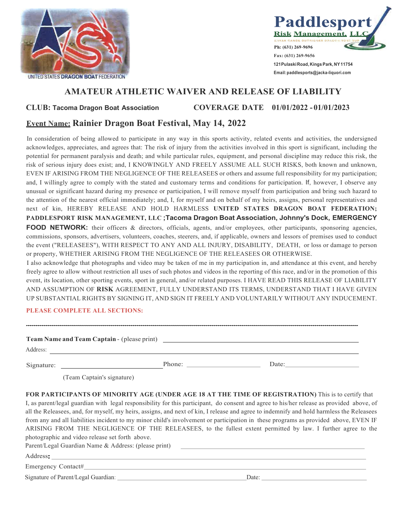



**Email: paddlesports@jacka-liquori.com**

## **AMATEUR ATHLETIC WAIVER AND RELEASE OF LIABILITY**

**CLUB: Tacoma Dragon Boat Association COVERAGE DATE 01/01/2022 - 01/01/2023**

## **Event Name: Rainier Dragon Boat Festival, May 14, 2022**

In consideration of being allowed to participate in any way in this sports activity, related events and activities, the undersigned acknowledges, appreciates, and agrees that: The risk of injury from the activities involved in this sport is significant, including the potential for permanent paralysis and death; and while particular rules, equipment, and personal discipline may reduce this risk, the risk of serious injury does exist; and, I KNOWINGLY AND FREELY ASSUME ALL SUCH RISKS, both known and unknown, EVEN IF ARISING FROM THE NEGLIGENCE OF THE RELEASEES or others and assume full responsibility for my participation; and, I willingly agree to comply with the stated and customary terms and conditions for participation. If, however, I observe any unusual or significant hazard during my presence or participation, I will remove myself from participation and bring such hazard to the attention of the nearest official immediately; and, I, for myself and on behalf of my heirs, assigns, personal representatives and next of kin, HEREBY RELEASE AND HOLD HARMLESS **UNITED STATES DRAGON BOAT FEDERATION; PADDLESPORT RISK MANAGEMENT, LLC ;Tacoma Dragon Boat Association, Johnny's Dock, EMERGENCY** 

**FOOD NETWORK:** their officers & directors, officials, agents, and/or employees, other participants, sponsoring agencies, commissions, sponsors, advertisers, volunteers, coaches, steerers, and, if applicable, owners and lessors of premises used to conduct the event ("RELEASEES"), WITH RESPECT TO ANY AND ALL INJURY, DISABILITY, DEATH, or loss or damage to person or property, WHETHER ARISING FROM THE NEGLIGENCE OF THE RELEASEES OR OTHERWISE.

I also acknowledge that photographs and video may be taken of me in my participation in, and attendance at this event, and hereby freely agree to allow without restriction all uses of such photos and videos in the reporting of this race, and/or in the promotion of this event, its location, other sporting events, sport in general, and/or related purposes. I HAVE READ THIS RELEASE OF LIABILITY AND ASSUMPTION OF **RISK** AGREEMENT, FULLY UNDERSTAND ITS TERMS, UNDERSTAND THAT I HAVE GIVEN UP SUBSTANTIAL RIGHTS BY SIGNING IT, AND SIGN IT FREELY AND VOLUNTARILY WITHOUT ANY INDUCEMENT.

## **PLEASE COMPLETE ALL SECTIONS:**

|                            | Signature: Date: Date:                                                                                                                                                                                                                                                                                                                                                                                                                                                                                                                       |
|----------------------------|----------------------------------------------------------------------------------------------------------------------------------------------------------------------------------------------------------------------------------------------------------------------------------------------------------------------------------------------------------------------------------------------------------------------------------------------------------------------------------------------------------------------------------------------|
| (Team Captain's signature) |                                                                                                                                                                                                                                                                                                                                                                                                                                                                                                                                              |
|                            | I, as parent/legal guardian with legal responsibility for this participant, do consent and agree to his/her release as provided above, of<br>all the Releasees, and, for myself, my heirs, assigns, and next of kin, I release and agree to indemnify and hold harmless the Releasees<br>from any and all liabilities incident to my minor child's involvement or participation in these programs as provided above, EVEN IF<br>ARISING FROM THE NEGLIGENCE OF THE RELEASEES, to the fullest extent permitted by law. I further agree to the |
|                            | FOR PARTICIPANTS OF MINORITY AGE (UNDER AGE 18 AT THE TIME OF REGISTRATION) This is to certify that                                                                                                                                                                                                                                                                                                                                                                                                                                          |

Signature of Parent/Legal Guardian: Date: Date: